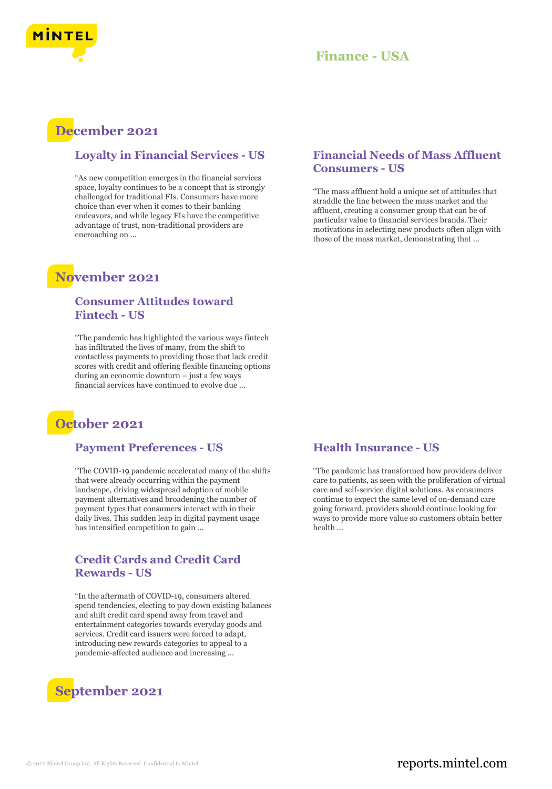

## **Finance - USA**

## **December 2021**

#### **Loyalty in Financial Services - US**

"As new competition emerges in the financial services space, loyalty continues to be a concept that is strongly challenged for traditional FIs. Consumers have more choice than ever when it comes to their banking endeavors, and while legacy FIs have the competitive advantage of trust, non-traditional providers are encroaching on ...

## **November 2021**

#### **Consumer Attitudes toward Fintech - US**

"The pandemic has highlighted the various ways fintech has infiltrated the lives of many, from the shift to contactless payments to providing those that lack credit scores with credit and offering flexible financing options during an economic downturn – just a few ways financial services have continued to evolve due ...

# **October 2021**

#### **Payment Preferences - US**

"The COVID-19 pandemic accelerated many of the shifts that were already occurring within the payment landscape, driving widespread adoption of mobile payment alternatives and broadening the number of payment types that consumers interact with in their daily lives. This sudden leap in digital payment usage has intensified competition to gain ...

#### **Credit Cards and Credit Card Rewards - US**

"In the aftermath of COVID-19, consumers altered spend tendencies, electing to pay down existing balances and shift credit card spend away from travel and entertainment categories towards everyday goods and services. Credit card issuers were forced to adapt, introducing new rewards categories to appeal to a pandemic-affected audience and increasing ...



#### **Financial Needs of Mass Affluent Consumers - US**

"The mass affluent hold a unique set of attitudes that straddle the line between the mass market and the affluent, creating a consumer group that can be of particular value to financial services brands. Their motivations in selecting new products often align with those of the mass market, demonstrating that ...

#### **Health Insurance - US**

"The pandemic has transformed how providers deliver care to patients, as seen with the proliferation of virtual care and self-service digital solutions. As consumers continue to expect the same level of on-demand care going forward, providers should continue looking for ways to provide more value so customers obtain better health ...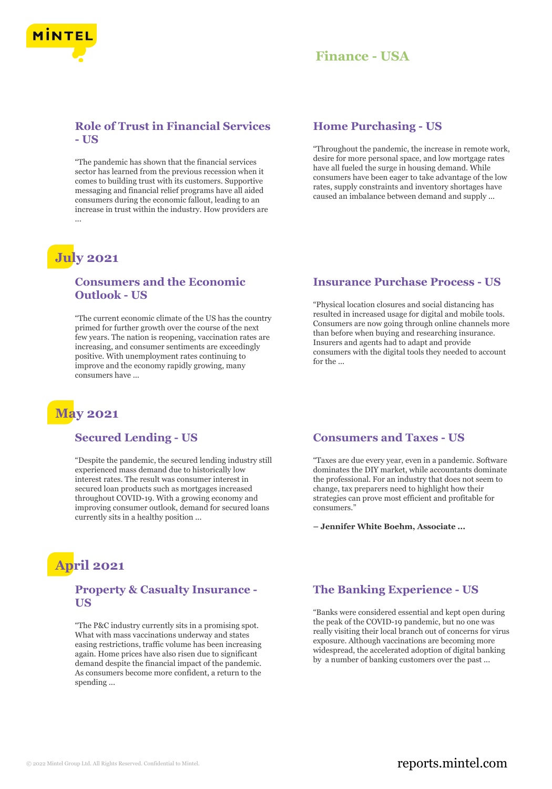

## **Finance - USA**

#### **Role of Trust in Financial Services - US**

"The pandemic has shown that the financial services sector has learned from the previous recession when it comes to building trust with its customers. Supportive messaging and financial relief programs have all aided consumers during the economic fallout, leading to an increase in trust within the industry. How providers are ...

# **July 2021**

#### **Consumers and the Economic Outlook - US**

"The current economic climate of the US has the country primed for further growth over the course of the next few years. The nation is reopening, vaccination rates are increasing, and consumer sentiments are exceedingly positive. With unemployment rates continuing to improve and the economy rapidly growing, many consumers have ...

# **May 2021**

#### **Secured Lending - US**

"Despite the pandemic, the secured lending industry still experienced mass demand due to historically low interest rates. The result was consumer interest in secured loan products such as mortgages increased throughout COVID-19. With a growing economy and improving consumer outlook, demand for secured loans currently sits in a healthy position ...

# **April 2021**

#### **Property & Casualty Insurance - US**

"The P&C industry currently sits in a promising spot. What with mass vaccinations underway and states easing restrictions, traffic volume has been increasing again. Home prices have also risen due to significant demand despite the financial impact of the pandemic. As consumers become more confident, a return to the spending ...

#### **Home Purchasing - US**

"Throughout the pandemic, the increase in remote work, desire for more personal space, and low mortgage rates have all fueled the surge in housing demand. While consumers have been eager to take advantage of the low rates, supply constraints and inventory shortages have caused an imbalance between demand and supply ...

#### **Insurance Purchase Process - US**

"Physical location closures and social distancing has resulted in increased usage for digital and mobile tools. Consumers are now going through online channels more than before when buying and researching insurance. Insurers and agents had to adapt and provide consumers with the digital tools they needed to account for the ...

#### **Consumers and Taxes - US**

"Taxes are due every year, even in a pandemic. Software dominates the DIY market, while accountants dominate the professional. For an industry that does not seem to change, tax preparers need to highlight how their strategies can prove most efficient and profitable for consumers."

**– Jennifer White Boehm, Associate ...**

### **The Banking Experience - US**

"Banks were considered essential and kept open during the peak of the COVID-19 pandemic, but no one was really visiting their local branch out of concerns for virus exposure. Although vaccinations are becoming more widespread, the accelerated adoption of digital banking by a number of banking customers over the past ...

### © 2022 Mintel Group Ltd. All Rights Reserved. Confidential to Mintel.  $\blacksquare$  reports.mintel.com